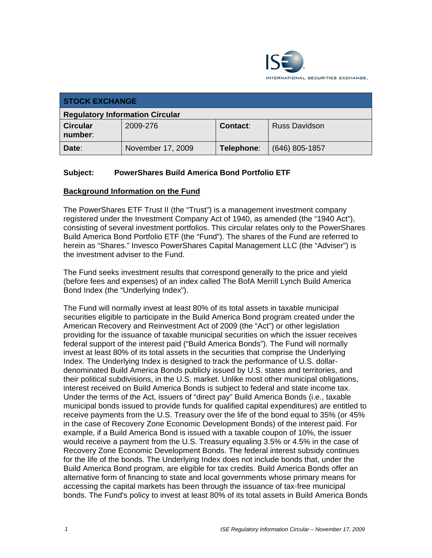

| <b>STOCK EXCHANGE</b>                  |                   |            |                      |  |  |
|----------------------------------------|-------------------|------------|----------------------|--|--|
| <b>Regulatory Information Circular</b> |                   |            |                      |  |  |
| <b>Circular</b><br>number:             | 2009-276          | Contact:   | <b>Russ Davidson</b> |  |  |
| Date:                                  | November 17, 2009 | Telephone: | $(646)$ 805-1857     |  |  |

## **Subject: PowerShares Build America Bond Portfolio ETF**

### **Background Information on the Fund**

The PowerShares ETF Trust II (the "Trust") is a management investment company registered under the Investment Company Act of 1940, as amended (the "1940 Act"), consisting of several investment portfolios. This circular relates only to the PowerShares Build America Bond Portfolio ETF (the "Fund"). The shares of the Fund are referred to herein as "Shares." Invesco PowerShares Capital Management LLC (the "Adviser") is the investment adviser to the Fund.

The Fund seeks investment results that correspond generally to the price and yield (before fees and expenses) of an index called The BofA Merrill Lynch Build America Bond Index (the "Underlying Index").

The Fund will normally invest at least 80% of its total assets in taxable municipal securities eligible to participate in the Build America Bond program created under the American Recovery and Reinvestment Act of 2009 (the "Act") or other legislation providing for the issuance of taxable municipal securities on which the issuer receives federal support of the interest paid ("Build America Bonds"). The Fund will normally invest at least 80% of its total assets in the securities that comprise the Underlying Index. The Underlying Index is designed to track the performance of U.S. dollardenominated Build America Bonds publicly issued by U.S. states and territories, and their political subdivisions, in the U.S. market. Unlike most other municipal obligations, interest received on Build America Bonds is subject to federal and state income tax. Under the terms of the Act, issuers of "direct pay" Build America Bonds (i.e., taxable municipal bonds issued to provide funds for qualified capital expenditures) are entitled to receive payments from the U.S. Treasury over the life of the bond equal to 35% (or 45% in the case of Recovery Zone Economic Development Bonds) of the interest paid. For example, if a Build America Bond is issued with a taxable coupon of 10%, the issuer would receive a payment from the U.S. Treasury equaling 3.5% or 4.5% in the case of Recovery Zone Economic Development Bonds. The federal interest subsidy continues for the life of the bonds. The Underlying Index does not include bonds that, under the Build America Bond program, are eligible for tax credits. Build America Bonds offer an alternative form of financing to state and local governments whose primary means for accessing the capital markets has been through the issuance of tax-free municipal bonds. The Fund's policy to invest at least 80% of its total assets in Build America Bonds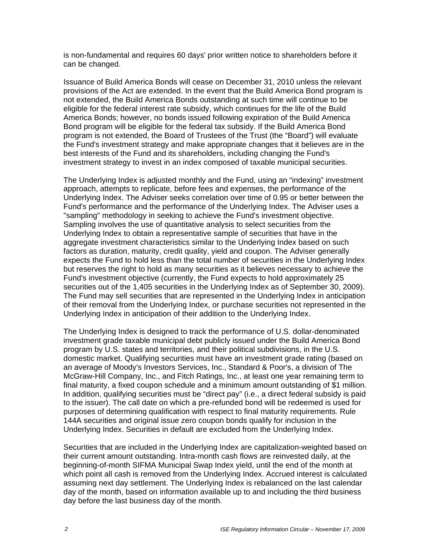is non-fundamental and requires 60 days' prior written notice to shareholders before it can be changed.

Issuance of Build America Bonds will cease on December 31, 2010 unless the relevant provisions of the Act are extended. In the event that the Build America Bond program is not extended, the Build America Bonds outstanding at such time will continue to be eligible for the federal interest rate subsidy, which continues for the life of the Build America Bonds; however, no bonds issued following expiration of the Build America Bond program will be eligible for the federal tax subsidy. If the Build America Bond program is not extended, the Board of Trustees of the Trust (the "Board") will evaluate the Fund's investment strategy and make appropriate changes that it believes are in the best interests of the Fund and its shareholders, including changing the Fund's investment strategy to invest in an index composed of taxable municipal securities.

The Underlying Index is adjusted monthly and the Fund, using an "indexing" investment approach, attempts to replicate, before fees and expenses, the performance of the Underlying Index. The Adviser seeks correlation over time of 0.95 or better between the Fund's performance and the performance of the Underlying Index. The Adviser uses a "sampling" methodology in seeking to achieve the Fund's investment objective. Sampling involves the use of quantitative analysis to select securities from the Underlying Index to obtain a representative sample of securities that have in the aggregate investment characteristics similar to the Underlying Index based on such factors as duration, maturity, credit quality, yield and coupon. The Adviser generally expects the Fund to hold less than the total number of securities in the Underlying Index but reserves the right to hold as many securities as it believes necessary to achieve the Fund's investment objective (currently, the Fund expects to hold approximately 25 securities out of the 1,405 securities in the Underlying Index as of September 30, 2009). The Fund may sell securities that are represented in the Underlying Index in anticipation of their removal from the Underlying Index, or purchase securities not represented in the Underlying Index in anticipation of their addition to the Underlying Index.

The Underlying Index is designed to track the performance of U.S. dollar-denominated investment grade taxable municipal debt publicly issued under the Build America Bond program by U.S. states and territories, and their political subdivisions, in the U.S. domestic market. Qualifying securities must have an investment grade rating (based on an average of Moody's Investors Services, Inc., Standard & Poor's, a division of The McGraw-Hill Company, Inc., and Fitch Ratings, Inc., at least one year remaining term to final maturity, a fixed coupon schedule and a minimum amount outstanding of \$1 million. In addition, qualifying securities must be "direct pay" (i.e., a direct federal subsidy is paid to the issuer). The call date on which a pre-refunded bond will be redeemed is used for purposes of determining qualification with respect to final maturity requirements. Rule 144A securities and original issue zero coupon bonds qualify for inclusion in the Underlying Index. Securities in default are excluded from the Underlying Index.

Securities that are included in the Underlying Index are capitalization-weighted based on their current amount outstanding. Intra-month cash flows are reinvested daily, at the beginning-of-month SIFMA Municipal Swap Index yield, until the end of the month at which point all cash is removed from the Underlying Index. Accrued interest is calculated assuming next day settlement. The Underlying Index is rebalanced on the last calendar day of the month, based on information available up to and including the third business day before the last business day of the month.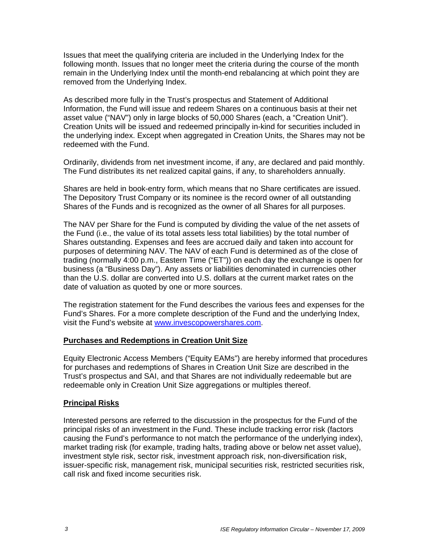Issues that meet the qualifying criteria are included in the Underlying Index for the following month. Issues that no longer meet the criteria during the course of the month remain in the Underlying Index until the month-end rebalancing at which point they are removed from the Underlying Index.

As described more fully in the Trust's prospectus and Statement of Additional Information, the Fund will issue and redeem Shares on a continuous basis at their net asset value ("NAV") only in large blocks of 50,000 Shares (each, a "Creation Unit"). Creation Units will be issued and redeemed principally in-kind for securities included in the underlying index. Except when aggregated in Creation Units, the Shares may not be redeemed with the Fund.

Ordinarily, dividends from net investment income, if any, are declared and paid monthly. The Fund distributes its net realized capital gains, if any, to shareholders annually.

Shares are held in book-entry form, which means that no Share certificates are issued. The Depository Trust Company or its nominee is the record owner of all outstanding Shares of the Funds and is recognized as the owner of all Shares for all purposes.

The NAV per Share for the Fund is computed by dividing the value of the net assets of the Fund (i.e., the value of its total assets less total liabilities) by the total number of Shares outstanding. Expenses and fees are accrued daily and taken into account for purposes of determining NAV. The NAV of each Fund is determined as of the close of trading (normally 4:00 p.m., Eastern Time ("ET")) on each day the exchange is open for business (a "Business Day"). Any assets or liabilities denominated in currencies other than the U.S. dollar are converted into U.S. dollars at the current market rates on the date of valuation as quoted by one or more sources.

The registration statement for the Fund describes the various fees and expenses for the Fund's Shares. For a more complete description of the Fund and the underlying Index, visit the Fund's website at www.invescopowershares.com.

### **Purchases and Redemptions in Creation Unit Size**

Equity Electronic Access Members ("Equity EAMs") are hereby informed that procedures for purchases and redemptions of Shares in Creation Unit Size are described in the Trust's prospectus and SAI, and that Shares are not individually redeemable but are redeemable only in Creation Unit Size aggregations or multiples thereof.

### **Principal Risks**

Interested persons are referred to the discussion in the prospectus for the Fund of the principal risks of an investment in the Fund. These include tracking error risk (factors causing the Fund's performance to not match the performance of the underlying index), market trading risk (for example, trading halts, trading above or below net asset value), investment style risk, sector risk, investment approach risk, non-diversification risk, issuer-specific risk, management risk, municipal securities risk, restricted securities risk, call risk and fixed income securities risk.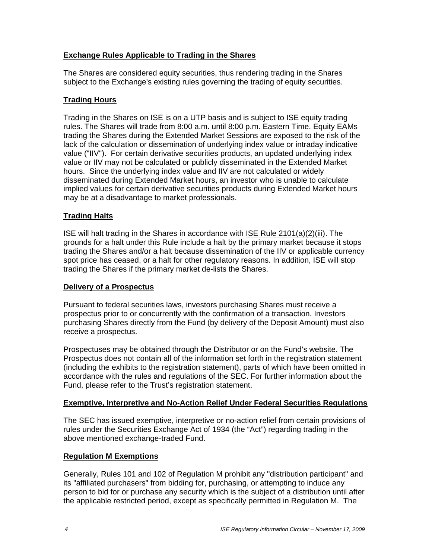## **Exchange Rules Applicable to Trading in the Shares**

The Shares are considered equity securities, thus rendering trading in the Shares subject to the Exchange's existing rules governing the trading of equity securities.

## **Trading Hours**

Trading in the Shares on ISE is on a UTP basis and is subject to ISE equity trading rules. The Shares will trade from 8:00 a.m. until 8:00 p.m. Eastern Time. Equity EAMs trading the Shares during the Extended Market Sessions are exposed to the risk of the lack of the calculation or dissemination of underlying index value or intraday indicative value ("IIV"). For certain derivative securities products, an updated underlying index value or IIV may not be calculated or publicly disseminated in the Extended Market hours. Since the underlying index value and IIV are not calculated or widely disseminated during Extended Market hours, an investor who is unable to calculate implied values for certain derivative securities products during Extended Market hours may be at a disadvantage to market professionals.

## **Trading Halts**

ISE will halt trading in the Shares in accordance with ISE Rule 2101(a)(2)(iii). The grounds for a halt under this Rule include a halt by the primary market because it stops trading the Shares and/or a halt because dissemination of the IIV or applicable currency spot price has ceased, or a halt for other regulatory reasons. In addition, ISE will stop trading the Shares if the primary market de-lists the Shares.

### **Delivery of a Prospectus**

Pursuant to federal securities laws, investors purchasing Shares must receive a prospectus prior to or concurrently with the confirmation of a transaction. Investors purchasing Shares directly from the Fund (by delivery of the Deposit Amount) must also receive a prospectus.

Prospectuses may be obtained through the Distributor or on the Fund's website. The Prospectus does not contain all of the information set forth in the registration statement (including the exhibits to the registration statement), parts of which have been omitted in accordance with the rules and regulations of the SEC. For further information about the Fund, please refer to the Trust's registration statement.

### **Exemptive, Interpretive and No-Action Relief Under Federal Securities Regulations**

The SEC has issued exemptive, interpretive or no-action relief from certain provisions of rules under the Securities Exchange Act of 1934 (the "Act") regarding trading in the above mentioned exchange-traded Fund.

# **Regulation M Exemptions**

Generally, Rules 101 and 102 of Regulation M prohibit any "distribution participant" and its "affiliated purchasers" from bidding for, purchasing, or attempting to induce any person to bid for or purchase any security which is the subject of a distribution until after the applicable restricted period, except as specifically permitted in Regulation M. The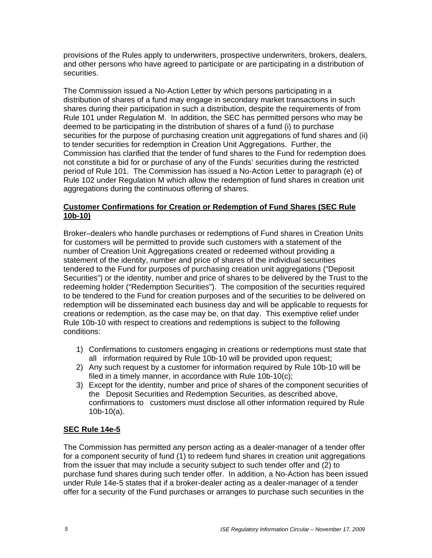provisions of the Rules apply to underwriters, prospective underwriters, brokers, dealers, and other persons who have agreed to participate or are participating in a distribution of securities.

The Commission issued a No-Action Letter by which persons participating in a distribution of shares of a fund may engage in secondary market transactions in such shares during their participation in such a distribution, despite the requirements of from Rule 101 under Regulation M. In addition, the SEC has permitted persons who may be deemed to be participating in the distribution of shares of a fund (i) to purchase securities for the purpose of purchasing creation unit aggregations of fund shares and (ii) to tender securities for redemption in Creation Unit Aggregations. Further, the Commission has clarified that the tender of fund shares to the Fund for redemption does not constitute a bid for or purchase of any of the Funds' securities during the restricted period of Rule 101. The Commission has issued a No-Action Letter to paragraph (e) of Rule 102 under Regulation M which allow the redemption of fund shares in creation unit aggregations during the continuous offering of shares.

## **Customer Confirmations for Creation or Redemption of Fund Shares (SEC Rule 10b-10)**

Broker–dealers who handle purchases or redemptions of Fund shares in Creation Units for customers will be permitted to provide such customers with a statement of the number of Creation Unit Aggregations created or redeemed without providing a statement of the identity, number and price of shares of the individual securities tendered to the Fund for purposes of purchasing creation unit aggregations ("Deposit Securities") or the identity, number and price of shares to be delivered by the Trust to the redeeming holder ("Redemption Securities"). The composition of the securities required to be tendered to the Fund for creation purposes and of the securities to be delivered on redemption will be disseminated each business day and will be applicable to requests for creations or redemption, as the case may be, on that day. This exemptive relief under Rule 10b-10 with respect to creations and redemptions is subject to the following conditions:

- 1) Confirmations to customers engaging in creations or redemptions must state that all information required by Rule 10b-10 will be provided upon request;
- 2) Any such request by a customer for information required by Rule 10b-10 will be filed in a timely manner, in accordance with Rule 10b-10(c);
- 3) Except for the identity, number and price of shares of the component securities of the Deposit Securities and Redemption Securities, as described above, confirmations to customers must disclose all other information required by Rule 10b-10(a).

# **SEC Rule 14e-5**

The Commission has permitted any person acting as a dealer-manager of a tender offer for a component security of fund (1) to redeem fund shares in creation unit aggregations from the issuer that may include a security subject to such tender offer and (2) to purchase fund shares during such tender offer. In addition, a No-Action has been issued under Rule 14e-5 states that if a broker-dealer acting as a dealer-manager of a tender offer for a security of the Fund purchases or arranges to purchase such securities in the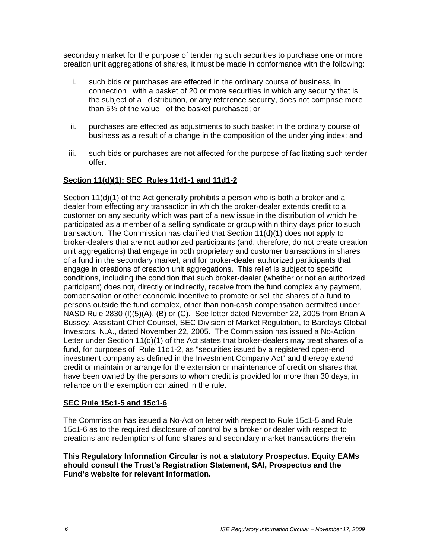secondary market for the purpose of tendering such securities to purchase one or more creation unit aggregations of shares, it must be made in conformance with the following:

- i. such bids or purchases are effected in the ordinary course of business, in connection with a basket of 20 or more securities in which any security that is the subject of a distribution, or any reference security, does not comprise more than 5% of the value of the basket purchased; or
- ii. purchases are effected as adjustments to such basket in the ordinary course of business as a result of a change in the composition of the underlying index; and
- iii. such bids or purchases are not affected for the purpose of facilitating such tender offer.

### **Section 11(d)(1); SEC Rules 11d1-1 and 11d1-2**

Section 11(d)(1) of the Act generally prohibits a person who is both a broker and a dealer from effecting any transaction in which the broker-dealer extends credit to a customer on any security which was part of a new issue in the distribution of which he participated as a member of a selling syndicate or group within thirty days prior to such transaction. The Commission has clarified that Section 11(d)(1) does not apply to broker-dealers that are not authorized participants (and, therefore, do not create creation unit aggregations) that engage in both proprietary and customer transactions in shares of a fund in the secondary market, and for broker-dealer authorized participants that engage in creations of creation unit aggregations. This relief is subject to specific conditions, including the condition that such broker-dealer (whether or not an authorized participant) does not, directly or indirectly, receive from the fund complex any payment, compensation or other economic incentive to promote or sell the shares of a fund to persons outside the fund complex, other than non-cash compensation permitted under NASD Rule 2830 (I)(5)(A), (B) or (C). See letter dated November 22, 2005 from Brian A Bussey, Assistant Chief Counsel, SEC Division of Market Regulation, to Barclays Global Investors, N.A., dated November 22, 2005. The Commission has issued a No-Action Letter under Section 11(d)(1) of the Act states that broker-dealers may treat shares of a fund, for purposes of Rule 11d1-2, as "securities issued by a registered open-end investment company as defined in the Investment Company Act" and thereby extend credit or maintain or arrange for the extension or maintenance of credit on shares that have been owned by the persons to whom credit is provided for more than 30 days, in reliance on the exemption contained in the rule.

#### **SEC Rule 15c1-5 and 15c1-6**

The Commission has issued a No-Action letter with respect to Rule 15c1-5 and Rule 15c1-6 as to the required disclosure of control by a broker or dealer with respect to creations and redemptions of fund shares and secondary market transactions therein.

#### **This Regulatory Information Circular is not a statutory Prospectus. Equity EAMs should consult the Trust's Registration Statement, SAI, Prospectus and the Fund's website for relevant information.**